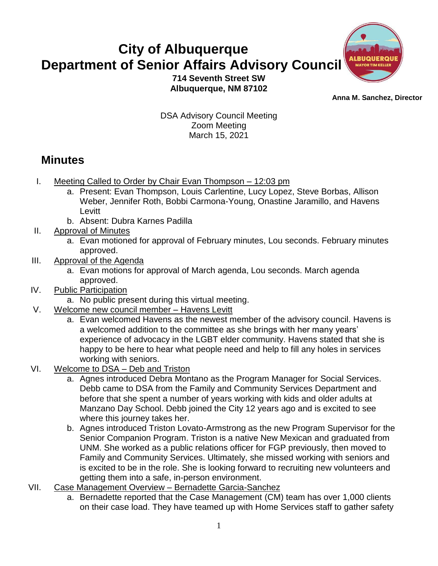## **City of Albuquerque Department of Senior Affairs Advisory Council**



**714 Seventh Street SW Albuquerque, NM 87102**

 **Anna M. Sanchez, Director** 

DSA Advisory Council Meeting Zoom Meeting March 15, 2021

## **Minutes**

- I. Meeting Called to Order by Chair Evan Thompson 12:03 pm
	- a. Present: Evan Thompson, Louis Carlentine, Lucy Lopez, Steve Borbas, Allison Weber, Jennifer Roth, Bobbi Carmona-Young, Onastine Jaramillo, and Havens Levitt
	- b. Absent: Dubra Karnes Padilla
- II. Approval of Minutes
	- a. Evan motioned for approval of February minutes, Lou seconds. February minutes approved.
- III. Approval of the Agenda
	- a. Evan motions for approval of March agenda, Lou seconds. March agenda approved.
- IV. Public Participation
	- a. No public present during this virtual meeting.
- V. Welcome new council member Havens Levitt
	- a. Evan welcomed Havens as the newest member of the advisory council. Havens is a welcomed addition to the committee as she brings with her many years' experience of advocacy in the LGBT elder community. Havens stated that she is happy to be here to hear what people need and help to fill any holes in services working with seniors.
- VI. Welcome to DSA Deb and Triston
	- a. Agnes introduced Debra Montano as the Program Manager for Social Services. Debb came to DSA from the Family and Community Services Department and before that she spent a number of years working with kids and older adults at Manzano Day School. Debb joined the City 12 years ago and is excited to see where this journey takes her.
	- b. Agnes introduced Triston Lovato-Armstrong as the new Program Supervisor for the Senior Companion Program. Triston is a native New Mexican and graduated from UNM. She worked as a public relations officer for FGP previously, then moved to Family and Community Services. Ultimately, she missed working with seniors and is excited to be in the role. She is looking forward to recruiting new volunteers and getting them into a safe, in-person environment.
- VII. Case Management Overview Bernadette Garcia-Sanchez
	- a. Bernadette reported that the Case Management (CM) team has over 1,000 clients on their case load. They have teamed up with Home Services staff to gather safety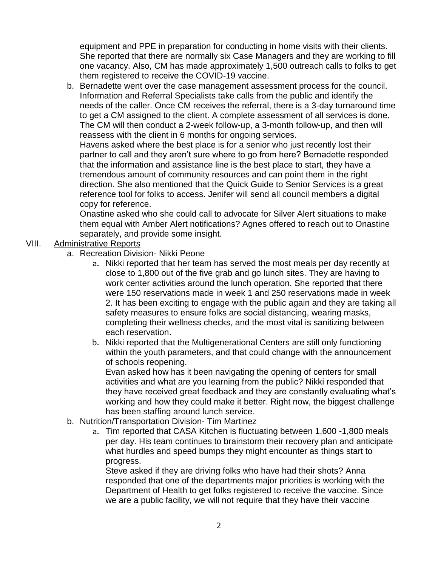equipment and PPE in preparation for conducting in home visits with their clients. She reported that there are normally six Case Managers and they are working to fill one vacancy. Also, CM has made approximately 1,500 outreach calls to folks to get them registered to receive the COVID-19 vaccine.

b. Bernadette went over the case management assessment process for the council. Information and Referral Specialists take calls from the public and identify the needs of the caller. Once CM receives the referral, there is a 3-day turnaround time to get a CM assigned to the client. A complete assessment of all services is done. The CM will then conduct a 2-week follow-up, a 3-month follow-up, and then will reassess with the client in 6 months for ongoing services.

Havens asked where the best place is for a senior who just recently lost their partner to call and they aren't sure where to go from here? Bernadette responded that the information and assistance line is the best place to start, they have a tremendous amount of community resources and can point them in the right direction. She also mentioned that the Quick Guide to Senior Services is a great reference tool for folks to access. Jenifer will send all council members a digital copy for reference.

Onastine asked who she could call to advocate for Silver Alert situations to make them equal with Amber Alert notifications? Agnes offered to reach out to Onastine separately, and provide some insight.

## VIII. Administrative Reports

- a. Recreation Division- Nikki Peone
	- a. Nikki reported that her team has served the most meals per day recently at close to 1,800 out of the five grab and go lunch sites. They are having to work center activities around the lunch operation. She reported that there were 150 reservations made in week 1 and 250 reservations made in week 2. It has been exciting to engage with the public again and they are taking all safety measures to ensure folks are social distancing, wearing masks, completing their wellness checks, and the most vital is sanitizing between each reservation.
	- b. Nikki reported that the Multigenerational Centers are still only functioning within the youth parameters, and that could change with the announcement of schools reopening.

Evan asked how has it been navigating the opening of centers for small activities and what are you learning from the public? Nikki responded that they have received great feedback and they are constantly evaluating what's working and how they could make it better. Right now, the biggest challenge has been staffing around lunch service.

- b. Nutrition/Transportation Division- Tim Martinez
	- a. Tim reported that CASA Kitchen is fluctuating between 1,600 -1,800 meals per day. His team continues to brainstorm their recovery plan and anticipate what hurdles and speed bumps they might encounter as things start to progress.

Steve asked if they are driving folks who have had their shots? Anna responded that one of the departments major priorities is working with the Department of Health to get folks registered to receive the vaccine. Since we are a public facility, we will not require that they have their vaccine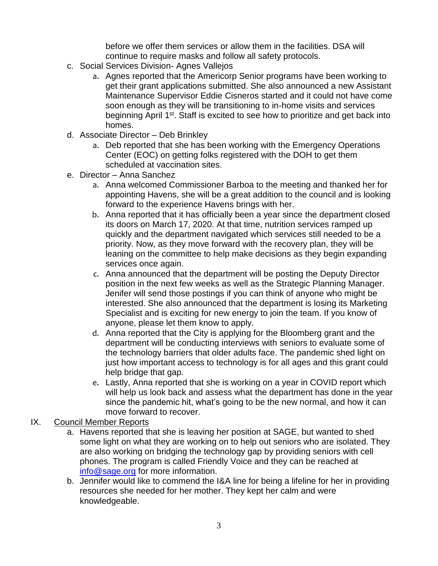before we offer them services or allow them in the facilities. DSA will continue to require masks and follow all safety protocols.

- c. Social Services Division- Agnes Vallejos
	- a. Agnes reported that the Americorp Senior programs have been working to get their grant applications submitted. She also announced a new Assistant Maintenance Supervisor Eddie Cisneros started and it could not have come soon enough as they will be transitioning to in-home visits and services beginning April 1<sup>st</sup>. Staff is excited to see how to prioritize and get back into homes.
- d. Associate Director Deb Brinkley
	- a. Deb reported that she has been working with the Emergency Operations Center (EOC) on getting folks registered with the DOH to get them scheduled at vaccination sites.
- e. Director Anna Sanchez
	- a. Anna welcomed Commissioner Barboa to the meeting and thanked her for appointing Havens, she will be a great addition to the council and is looking forward to the experience Havens brings with her.
	- b. Anna reported that it has officially been a year since the department closed its doors on March 17, 2020. At that time, nutrition services ramped up quickly and the department navigated which services still needed to be a priority. Now, as they move forward with the recovery plan, they will be leaning on the committee to help make decisions as they begin expanding services once again.
	- c. Anna announced that the department will be posting the Deputy Director position in the next few weeks as well as the Strategic Planning Manager. Jenifer will send those postings if you can think of anyone who might be interested. She also announced that the department is losing its Marketing Specialist and is exciting for new energy to join the team. If you know of anyone, please let them know to apply.
	- d. Anna reported that the City is applying for the Bloomberg grant and the department will be conducting interviews with seniors to evaluate some of the technology barriers that older adults face. The pandemic shed light on just how important access to technology is for all ages and this grant could help bridge that gap.
	- e. Lastly, Anna reported that she is working on a year in COVID report which will help us look back and assess what the department has done in the year since the pandemic hit, what's going to be the new normal, and how it can move forward to recover.

## IX. Council Member Reports

- a. Havens reported that she is leaving her position at SAGE, but wanted to shed some light on what they are working on to help out seniors who are isolated. They are also working on bridging the technology gap by providing seniors with cell phones. The program is called Friendly Voice and they can be reached at [info@sage.org](mailto:info@sage.org) for more information.
- b. Jennifer would like to commend the I&A line for being a lifeline for her in providing resources she needed for her mother. They kept her calm and were knowledgeable.